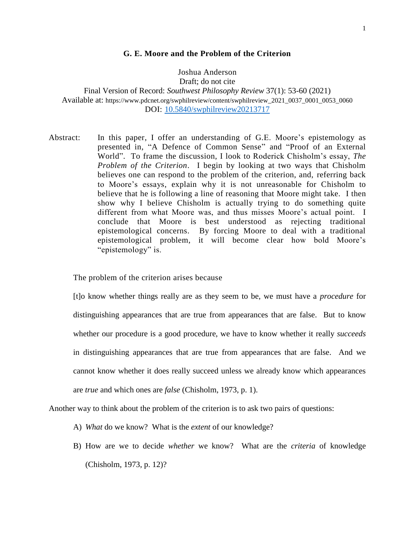### **G. E. Moore and the Problem of the Criterion**

Joshua Anderson Draft; do not cite Final Version of Record: *Southwest Philosophy Review* 37(1): 53-60 (2021) Available at: https://www.pdcnet.org/swphilreview/content/swphilreview\_2021\_0037\_0001\_0053\_0060 DOI: [10.5840/swphilreview20213717](https://doi.org/10.5840/swphilreview20213717)

Abstract: In this paper, I offer an understanding of G.E. Moore's epistemology as presented in, "A Defence of Common Sense" and "Proof of an External World". To frame the discussion, I look to Roderick Chisholm's essay, *The Problem of the Criterion*. I begin by looking at two ways that Chisholm believes one can respond to the problem of the criterion, and, referring back to Moore's essays, explain why it is not unreasonable for Chisholm to believe that he is following a line of reasoning that Moore might take. I then show why I believe Chisholm is actually trying to do something quite different from what Moore was, and thus misses Moore's actual point. I conclude that Moore is best understood as rejecting traditional epistemological concerns. By forcing Moore to deal with a traditional epistemological problem, it will become clear how bold Moore's "epistemology" is.

The problem of the criterion arises because

[t]o know whether things really are as they seem to be, we must have a *procedure* for distinguishing appearances that are true from appearances that are false. But to know whether our procedure is a good procedure, we have to know whether it really *succeeds* in distinguishing appearances that are true from appearances that are false. And we cannot know whether it does really succeed unless we already know which appearances are *true* and which ones are *false* (Chisholm, 1973, p. 1).

Another way to think about the problem of the criterion is to ask two pairs of questions:

- A) *What* do we know? What is the *extent* of our knowledge?
- B) How are we to decide *whether* we know? What are the *criteria* of knowledge (Chisholm, 1973, p. 12)?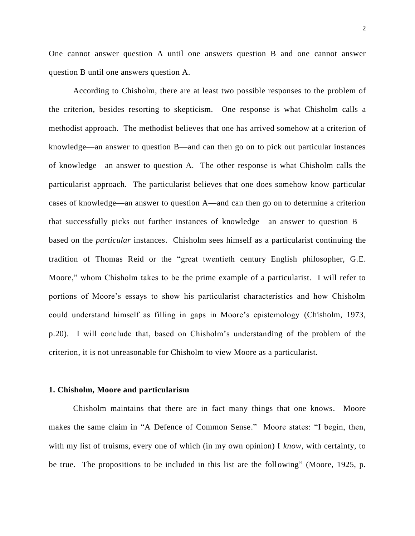One cannot answer question A until one answers question B and one cannot answer question B until one answers question A.

According to Chisholm, there are at least two possible responses to the problem of the criterion, besides resorting to skepticism. One response is what Chisholm calls a methodist approach. The methodist believes that one has arrived somehow at a criterion of knowledge—an answer to question B—and can then go on to pick out particular instances of knowledge—an answer to question A. The other response is what Chisholm calls the particularist approach. The particularist believes that one does somehow know particular cases of knowledge—an answer to question A—and can then go on to determine a criterion that successfully picks out further instances of knowledge—an answer to question B based on the *particular* instances. Chisholm sees himself as a particularist continuing the tradition of Thomas Reid or the "great twentieth century English philosopher, G.E. Moore," whom Chisholm takes to be the prime example of a particularist. I will refer to portions of Moore's essays to show his particularist characteristics and how Chisholm could understand himself as filling in gaps in Moore's epistemology (Chisholm, 1973, p.20). I will conclude that, based on Chisholm's understanding of the problem of the criterion, it is not unreasonable for Chisholm to view Moore as a particularist.

#### **1. Chisholm, Moore and particularism**

Chisholm maintains that there are in fact many things that one knows. Moore makes the same claim in "A Defence of Common Sense." Moore states: "I begin, then, with my list of truisms, every one of which (in my own opinion) I *know*, with certainty, to be true. The propositions to be included in this list are the following" (Moore, 1925, p.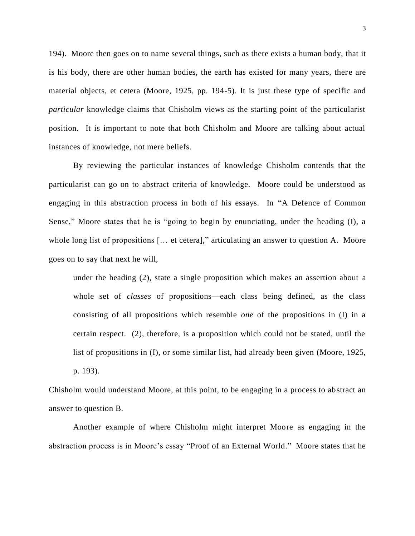194). Moore then goes on to name several things, such as there exists a human body, that it is his body, there are other human bodies, the earth has existed for many years, there are material objects, et cetera (Moore, 1925, pp. 194-5). It is just these type of specific and *particular* knowledge claims that Chisholm views as the starting point of the particularist position. It is important to note that both Chisholm and Moore are talking about actual instances of knowledge, not mere beliefs.

By reviewing the particular instances of knowledge Chisholm contends that the particularist can go on to abstract criteria of knowledge. Moore could be understood as engaging in this abstraction process in both of his essays. In "A Defence of Common Sense," Moore states that he is "going to begin by enunciating, under the heading (I), a whole long list of propositions [... et cetera]," articulating an answer to question A. Moore goes on to say that next he will,

under the heading (2), state a single proposition which makes an assertion about a whole set of *classes* of propositions—each class being defined, as the class consisting of all propositions which resemble *one* of the propositions in (I) in a certain respect. (2), therefore, is a proposition which could not be stated, until the list of propositions in (I), or some similar list, had already been given (Moore, 1925, p. 193).

Chisholm would understand Moore, at this point, to be engaging in a process to abstract an answer to question B.

Another example of where Chisholm might interpret Moore as engaging in the abstraction process is in Moore's essay "Proof of an External World." Moore states that he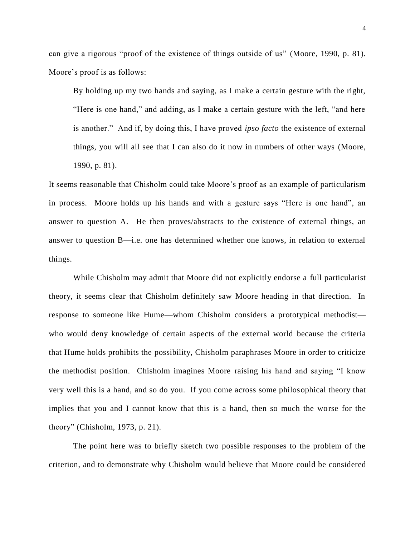can give a rigorous "proof of the existence of things outside of us" (Moore, 1990, p. 81). Moore's proof is as follows:

By holding up my two hands and saying, as I make a certain gesture with the right, "Here is one hand," and adding, as I make a certain gesture with the left, "and here is another." And if, by doing this, I have proved *ipso facto* the existence of external things, you will all see that I can also do it now in numbers of other ways (Moore, 1990, p. 81).

It seems reasonable that Chisholm could take Moore's proof as an example of particularism in process. Moore holds up his hands and with a gesture says "Here is one hand", an answer to question A. He then proves/abstracts to the existence of external things, an answer to question B—i.e. one has determined whether one knows, in relation to external things.

While Chisholm may admit that Moore did not explicitly endorse a full particularist theory, it seems clear that Chisholm definitely saw Moore heading in that direction. In response to someone like Hume—whom Chisholm considers a prototypical methodist who would deny knowledge of certain aspects of the external world because the criteria that Hume holds prohibits the possibility, Chisholm paraphrases Moore in order to criticize the methodist position. Chisholm imagines Moore raising his hand and saying "I know very well this is a hand, and so do you. If you come across some philosophical theory that implies that you and I cannot know that this is a hand, then so much the worse for the theory" (Chisholm, 1973, p. 21).

The point here was to briefly sketch two possible responses to the problem of the criterion, and to demonstrate why Chisholm would believe that Moore could be considered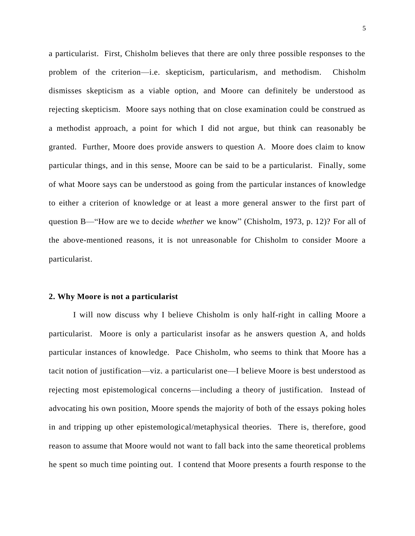a particularist. First, Chisholm believes that there are only three possible responses to the problem of the criterion—i.e. skepticism, particularism, and methodism. Chisholm dismisses skepticism as a viable option, and Moore can definitely be understood as rejecting skepticism. Moore says nothing that on close examination could be construed as a methodist approach, a point for which I did not argue, but think can reasonably be granted. Further, Moore does provide answers to question A. Moore does claim to know particular things, and in this sense, Moore can be said to be a particularist. Finally, some of what Moore says can be understood as going from the particular instances of knowledge to either a criterion of knowledge or at least a more general answer to the first part of question B—"How are we to decide *whether* we know" (Chisholm, 1973, p. 12)? For all of the above-mentioned reasons, it is not unreasonable for Chisholm to consider Moore a particularist.

#### **2. Why Moore is not a particularist**

I will now discuss why I believe Chisholm is only half-right in calling Moore a particularist. Moore is only a particularist insofar as he answers question A, and holds particular instances of knowledge. Pace Chisholm, who seems to think that Moore has a tacit notion of justification—viz. a particularist one—I believe Moore is best understood as rejecting most epistemological concerns—including a theory of justification. Instead of advocating his own position, Moore spends the majority of both of the essays poking holes in and tripping up other epistemological/metaphysical theories. There is, therefore, good reason to assume that Moore would not want to fall back into the same theoretical problems he spent so much time pointing out. I contend that Moore presents a fourth response to the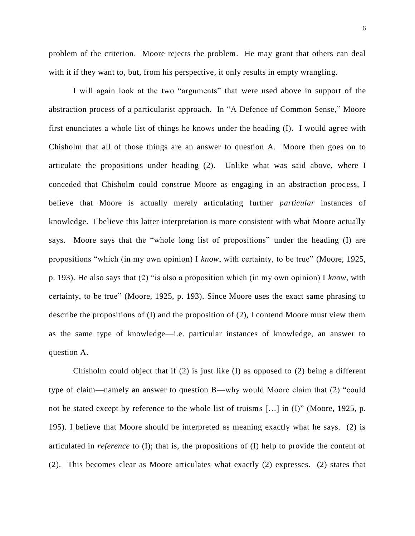problem of the criterion. Moore rejects the problem. He may grant that others can deal with it if they want to, but, from his perspective, it only results in empty wrangling.

I will again look at the two "arguments" that were used above in support of the abstraction process of a particularist approach. In "A Defence of Common Sense," Moore first enunciates a whole list of things he knows under the heading  $(I)$ . I would agree with Chisholm that all of those things are an answer to question A. Moore then goes on to articulate the propositions under heading (2). Unlike what was said above, where I conceded that Chisholm could construe Moore as engaging in an abstraction process, I believe that Moore is actually merely articulating further *particular* instances of knowledge. I believe this latter interpretation is more consistent with what Moore actually says. Moore says that the "whole long list of propositions" under the heading (I) are propositions "which (in my own opinion) I *know*, with certainty, to be true" (Moore, 1925, p. 193). He also says that (2) "is also a proposition which (in my own opinion) I *know*, with certainty, to be true" (Moore, 1925, p. 193). Since Moore uses the exact same phrasing to describe the propositions of (I) and the proposition of (2), I contend Moore must view them as the same type of knowledge—i.e. particular instances of knowledge, an answer to question A.

Chisholm could object that if (2) is just like (I) as opposed to (2) being a different type of claim—namely an answer to question B—why would Moore claim that (2) "could not be stated except by reference to the whole list of truisms […] in (I)" (Moore, 1925, p. 195). I believe that Moore should be interpreted as meaning exactly what he says. (2) is articulated in *reference* to (I); that is, the propositions of (I) help to provide the content of (2). This becomes clear as Moore articulates what exactly (2) expresses. (2) states that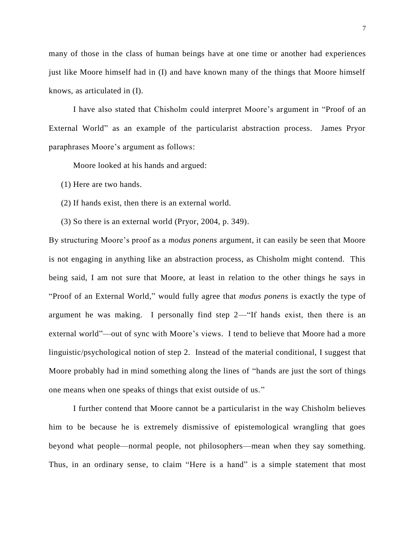many of those in the class of human beings have at one time or another had experiences just like Moore himself had in (I) and have known many of the things that Moore himself knows, as articulated in (I).

I have also stated that Chisholm could interpret Moore's argument in "Proof of an External World" as an example of the particularist abstraction process. James Pryor paraphrases Moore's argument as follows:

Moore looked at his hands and argued:

(1) Here are two hands.

(2) If hands exist, then there is an external world.

(3) So there is an external world (Pryor, 2004, p. 349).

By structuring Moore's proof as a *modus ponens* argument, it can easily be seen that Moore is not engaging in anything like an abstraction process, as Chisholm might contend. This being said, I am not sure that Moore, at least in relation to the other things he says in "Proof of an External World," would fully agree that *modus ponens* is exactly the type of argument he was making. I personally find step 2—"If hands exist, then there is an external world"—out of sync with Moore's views. I tend to believe that Moore had a more linguistic/psychological notion of step 2. Instead of the material conditional, I suggest that Moore probably had in mind something along the lines of "hands are just the sort of things one means when one speaks of things that exist outside of us."

I further contend that Moore cannot be a particularist in the way Chisholm believes him to be because he is extremely dismissive of epistemological wrangling that goes beyond what people—normal people, not philosophers—mean when they say something. Thus, in an ordinary sense, to claim "Here is a hand" is a simple statement that most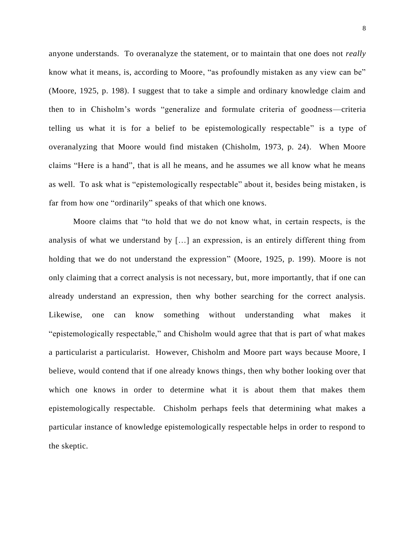anyone understands. To overanalyze the statement, or to maintain that one does not *really* know what it means, is, according to Moore, "as profoundly mistaken as any view can be" (Moore, 1925, p. 198). I suggest that to take a simple and ordinary knowledge claim and then to in Chisholm's words "generalize and formulate criteria of goodness—criteria telling us what it is for a belief to be epistemologically respectable" is a type of overanalyzing that Moore would find mistaken (Chisholm, 1973, p. 24). When Moore claims "Here is a hand", that is all he means, and he assumes we all know what he means as well. To ask what is "epistemologically respectable" about it, besides being mistaken, is far from how one "ordinarily" speaks of that which one knows.

Moore claims that "to hold that we do not know what, in certain respects, is the analysis of what we understand by […] an expression, is an entirely different thing from holding that we do not understand the expression" (Moore, 1925, p. 199). Moore is not only claiming that a correct analysis is not necessary, but, more importantly, that if one can already understand an expression, then why bother searching for the correct analysis. Likewise, one can know something without understanding what makes it "epistemologically respectable," and Chisholm would agree that that is part of what makes a particularist a particularist. However, Chisholm and Moore part ways because Moore, I believe, would contend that if one already knows things, then why bother looking over that which one knows in order to determine what it is about them that makes them epistemologically respectable. Chisholm perhaps feels that determining what makes a particular instance of knowledge epistemologically respectable helps in order to respond to the skeptic.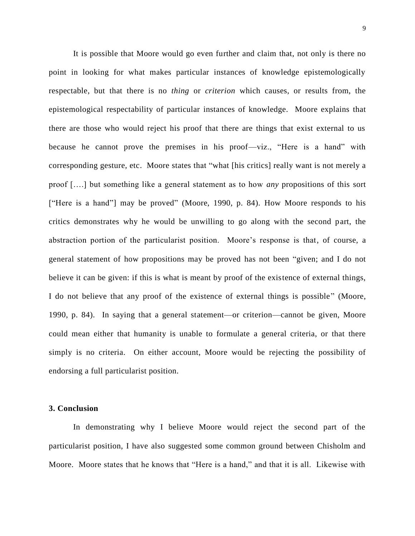It is possible that Moore would go even further and claim that, not only is there no point in looking for what makes particular instances of knowledge epistemologically respectable, but that there is no *thing* or *criterion* which causes, or results from, the epistemological respectability of particular instances of knowledge. Moore explains that there are those who would reject his proof that there are things that exist external to us because he cannot prove the premises in his proof—viz., "Here is a hand" with corresponding gesture, etc. Moore states that "what [his critics] really want is not merely a proof [….] but something like a general statement as to how *any* propositions of this sort ["Here is a hand"] may be proved" (Moore, 1990, p. 84). How Moore responds to his critics demonstrates why he would be unwilling to go along with the second part, the abstraction portion of the particularist position. Moore's response is that, of course, a general statement of how propositions may be proved has not been "given; and I do not believe it can be given: if this is what is meant by proof of the existence of external things, I do not believe that any proof of the existence of external things is possible" (Moore, 1990, p. 84). In saying that a general statement—or criterion—cannot be given, Moore could mean either that humanity is unable to formulate a general criteria, or that there simply is no criteria. On either account, Moore would be rejecting the possibility of endorsing a full particularist position.

## **3. Conclusion**

In demonstrating why I believe Moore would reject the second part of the particularist position, I have also suggested some common ground between Chisholm and Moore. Moore states that he knows that "Here is a hand," and that it is all. Likewise with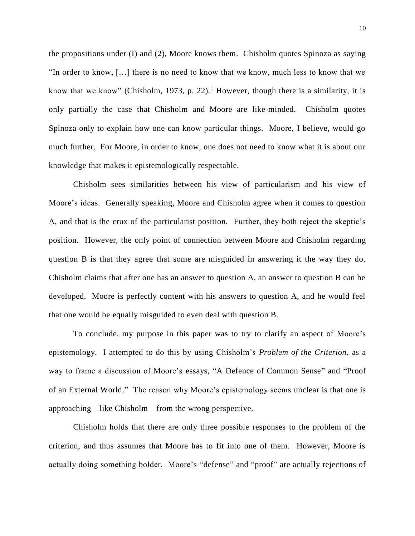the propositions under (I) and (2), Moore knows them. Chisholm quotes Spinoza as saying "In order to know, […] there is no need to know that we know, much less to know that we know that we know" (Chisholm, 1973, p. 22).<sup>1</sup> However, though there is a similarity, it is only partially the case that Chisholm and Moore are like-minded. Chisholm quotes Spinoza only to explain how one can know particular things. Moore, I believe, would go much further. For Moore, in order to know, one does not need to know what it is about our knowledge that makes it epistemologically respectable.

Chisholm sees similarities between his view of particularism and his view of Moore's ideas. Generally speaking, Moore and Chisholm agree when it comes to question A, and that is the crux of the particularist position. Further, they both reject the skeptic's position. However, the only point of connection between Moore and Chisholm regarding question B is that they agree that some are misguided in answering it the way they do. Chisholm claims that after one has an answer to question A, an answer to question B can be developed. Moore is perfectly content with his answers to question A, and he would feel that one would be equally misguided to even deal with question B.

To conclude, my purpose in this paper was to try to clarify an aspect of Moore's epistemology. I attempted to do this by using Chisholm's *Problem of the Criterion*, as a way to frame a discussion of Moore's essays, "A Defence of Common Sense" and "Proof of an External World." The reason why Moore's epistemology seems unclear is that one is approaching—like Chisholm—from the wrong perspective.

Chisholm holds that there are only three possible responses to the problem of the criterion, and thus assumes that Moore has to fit into one of them. However, Moore is actually doing something bolder. Moore's "defense" and "proof" are actually rejections of